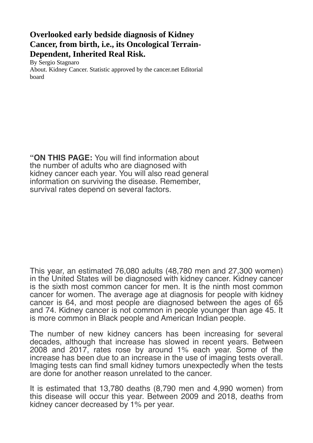## **Overlooked early bedside diagnosis of Kidney Cancer, from birth, i.e., its Oncological Terrain-Dependent, Inherited Real Risk.**

By Sergio Stagnaro About. Kidney Cancer. Statistic approved by the cancer.net Editorial board

"ON THIS PAGE: You will find information about the number of adults who are diagnosed with kidney cancer each year. You will also read general information on surviving the disease. Remember, survival rates depend on several factors.

This year, an estimated 76,080 adults (48,780 men and 27,300 women) in the United States will be diagnosed with kidney cancer. Kidney cancer is the sixth most common cancer for men. It is the ninth most common cancer for women. The average age at diagnosis for people with kidney cancer is 64, and most people are diagnosed between the ages of 65 and 74. Kidney cancer is not common in people younger than age 45. It is more common in Black people and American Indian people.

The number of new kidney cancers has been increasing for several decades, although that increase has slowed in recent years. Between 2008 and 2017, rates rose by around 1% each year. Some of the increase has been due to an increase in the use of imaging tests overall. Imaging tests can find small kidney tumors unexpectedly when the tests are done for another reason unrelated to the cancer.

It is estimated that 13,780 deaths (8,790 men and 4,990 women) from this disease will occur this year. Between 2009 and 2018, deaths from kidney cancer decreased by 1% per year.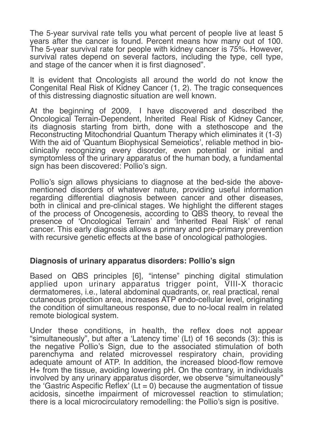The 5-year survival rate tells you what percent of people live at least 5 years after the cancer is found. Percent means how many out of 100. The 5-year survival rate for people with kidney cancer is 75%. However, survival rates depend on several factors, including the type, cell type, and stage of the cancer when it is first diagnosed".

It is evident that Oncologists all around the world do not know the Congenital Real Risk of Kidney Cancer (1, 2). The tragic consequences of this distressing diagnostic situation are well known.

At the beginning of 2009, I have discovered and described the Oncological Terrain-Dependent, lnherited Real Risk of Kidney Cancer, its diagnosis starting from birth, done with a stethoscope and the Reconstructing Mitochondrial Quantum Therapy which eliminates it (1-3) With the aid of 'Quantum Biophysical Semeiotics', reliable method in bioclinically recognizing every disorder, even potential or initial and symptomless of the urinary apparatus of the human body, a fundamental sign has been discovered: Pollio's sign.

Pollio's sign allows physicians to diagnose at the bed-side the abovementioned disorders of whatever nature, providing useful information regarding differential diagnosis between cancer and other diseases, both in clinical and pre-clinical stages. We highlight the different stages of the process of Oncogenesis, according to QBS theory, to reveal the presence of 'Oncological Terrain' and 'Inherited Real Risk' of renal cancer. This early diagnosis allows a primary and pre-primary prevention with recursive genetic effects at the base of oncological pathologies.

## **Diagnosis of urinary apparatus disorders: Pollio's sign**

Based on QBS principles [6], "intense" pinching digital stimulation applied upon urinary apparatus trigger point, VIII-X thoracic dermatomeres, i.e., lateral abdominal quadrants, or, real practical, renal cutaneous projection area, increases ATP endo-cellular level, originating the condition of simultaneous response, due to no-local realm in related remote biological system.

Under these conditions, in health, the reflex does not appear "simultaneously", but after a 'Latency time' (Lt) of 16 seconds (3): this is the negative Pollio's Sign, due to the associated stimulation of both parenchyma and related microvessel respiratory chain, providing adequate amount of ATP. In addition, the increased blood-flow remove H+ from the tissue, avoiding lowering pH. On the contrary, in individuals involved by any urinary apparatus disorder, we observe "simultaneously" the 'Gastric Aspecific Reflex' (Lt = 0) because the augmentation of tissue acidosis, sincethe impairment of microvessel reaction to stimulation; there is a local microcirculatory remodelling: the Pollio's sign is positive.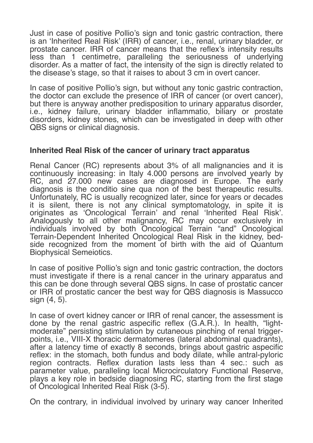Just in case of positive Pollio's sign and tonic gastric contraction, there is an 'Inherited Real Risk' (IRR) of cancer, i.e., renal, urinary bladder, or prostate cancer. IRR of cancer means that the refex's intensity results less than 1 centimetre, paralleling the seriousness of underlying disorder. As a matter of fact, the intensity of the sign is directly related to the disease's stage, so that it raises to about 3 cm in overt cancer.

In case of positive Pollio's sign, but without any tonic gastric contraction, the doctor can exclude the presence of IRR of cancer (or overt cancer), but there is anyway another predisposition to urinary apparatus disorder, i.e., kidney failure, urinary bladder infammatio, biliary or prostate disorders, kidney stones, which can be investigated in deep with other QBS signs or clinical diagnosis.

## **Inherited Real Risk of the cancer of urinary tract apparatus**

Renal Cancer (RC) represents about 3% of all malignancies and it is continuously increasing: in Italy 4.000 persons are involved yearly by RC, and 27.000 new cases are diagnosed in Europe. The early diagnosis is the conditio sine qua non of the best therapeutic results. Unfortunately, RC is usually recognized later, since for years or decades it is silent, there is not any clinical symptomatology, in spite it is originates as 'Oncological Terrain' and renal 'Inherited Real Risk'. Analogously to all other malignancy, RC may occur exclusively in individuals involved by both Oncological Terrain "and" Oncological Terrain-Dependent Inherited Oncological Real Risk in the kidney, bedside recognized from the moment of birth with the aid of Quantum Biophysical Semeiotics.

In case of positive Pollio's sign and tonic gastric contraction, the doctors must investigate if there is a renal cancer in the urinary apparatus and this can be done through several QBS signs. In case of prostatic cancer or IRR of prostatic cancer the best way for QBS diagnosis is Massucco sign (4, 5).

In case of overt kidney cancer or IRR of renal cancer, the assessment is done by the renal gastric aspecific reflex (G.A.R.). In health, "lightmoderate" persisting stimulation by cutaneous pinching of renal triggerpoints, i.e., VIII-X thoracic dermatomeres (lateral abdominal quadrants), after a latency time of exactly 8 seconds, brings about gastric aspecifc reflex: in the stomach, both fundus and body dilate, while antral-pyloric region contracts. Reflex duration lasts less than 4 sec.: such as parameter value, paralleling local Microcirculatory Functional Reserve, plays a key role in bedside diagnosing RC, starting from the first stage of Oncological Inherited Real Risk (3-5).

On the contrary, in individual involved by urinary way cancer Inherited